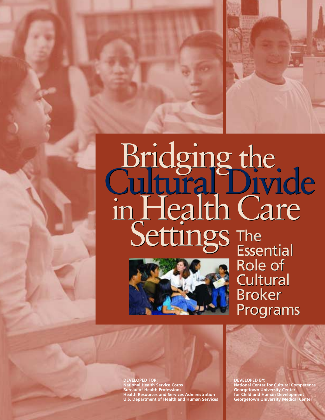### Bridging the<br>Cultural Divide inHealthCare Settings The Bridging the<br>Cultural Divide inHealthCare Settings The



**Essential** Role of Role of Cultural Cultural Broker Broker Programs Programs

**DEVELOPED FOR: National Health Service Corps Bureau of Health Professions Health Resources and Services Administration U.S. Department of Health and Human Services** **DEVELOPED BY:**

**National Center for Cultural Competence Georgetown University Center for Child and Human Development Georgetown University Medical Center**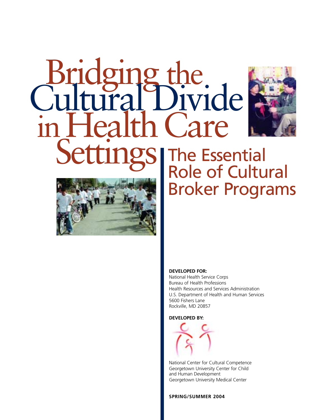# Bridging the<br>Cultural Divide in Health Care Settings





The Essential Role of Cultural Broker Programs

#### **DEVELOPED FOR:**

National Health Service Corps Bureau of Health Professions Health Resources and Services Administration U.S. Department of Health and Human Services 5600 Fishers Lane Rockville, MD 20857

**DEVELOPED BY:**



National Center for Cultural Competence Georgetown University Center for Child and Human Development Georgetown University Medical Center

**SPRING/SUMMER 2004**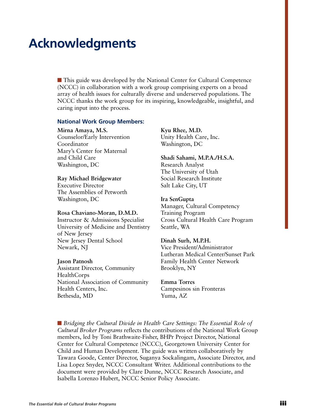### **Acknowledgments**

■ This guide was developed by the National Center for Cultural Competence (NCCC) in collaboration with a work group comprising experts on a broad array of health issues for culturally diverse and underserved populations. The NCCC thanks the work group for its inspiring, knowledgeable, insightful, and caring input into the process.

#### **National Work Group Members:**

#### **Mirna Amaya, M.S.**

Counselor/Early Intervention Coordinator Mary's Center for Maternal and Child Care Washington, DC

#### **Ray Michael Bridgewater**

Executive Director The Assemblies of Petworth Washington, DC

#### **Rosa Chaviano-Moran, D.M.D.**

Instructor & Admissions Specialist University of Medicine and Dentistry of New Jersey New Jersey Dental School Newark, NJ

#### **Jason Patnosh**

Assistant Director, Community HealthCorps National Association of Community Health Centers, Inc. Bethesda, MD

**Kyu Rhee, M.D.** Unity Health Care, Inc. Washington, DC

**Shadi Sahami, M.P.A./H.S.A.** Research Analyst The University of Utah Social Research Institute Salt Lake City, UT

#### **Ira SenGupta**

Manager, Cultural Competency Training Program Cross Cultural Health Care Program Seattle, WA

#### **Dinah Surh, M.P.H.**

Vice President/Administrator Lutheran Medical Center/Sunset Park Family Health Center Network Brooklyn, NY

#### **Emma Torres**

Campesinos sin Fronteras Yuma, AZ

■ *Bridging the Cultural Divide in Health Care Settings: The Essential Role of Cultural Broker Programs* reflects the contributions of the National Work Group members, led by Toni Brathwaite-Fisher, BHPr Project Director, National Center for Cultural Competence (NCCC), Georgetown University Center for Child and Human Development. The guide was written collaboratively by Tawara Goode, Center Director, Suganya Sockalingam, Associate Director, and Lisa Lopez Snyder, NCCC Consultant Writer. Additional contributions to the document were provided by Clare Dunne, NCCC Research Associate, and Isabella Lorenzo Hubert, NCCC Senior Policy Associate.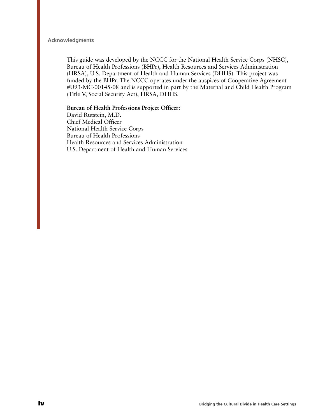#### **Acknowledgments**

This guide was developed by the NCCC for the National Health Service Corps (NHSC), Bureau of Health Professions (BHPr), Health Resources and Services Administration (HRSA), U.S. Department of Health and Human Services (DHHS). This project was funded by the BHPr. The NCCC operates under the auspices of Cooperative Agreement #U93-MC-00145-08 and is supported in part by the Maternal and Child Health Program (Title V, Social Security Act), HRSA, DHHS.

#### **Bureau of Health Professions Project Officer:**

David Rutstein, M.D. Chief Medical Officer National Health Service Corps Bureau of Health Professions Health Resources and Services Administration U.S. Department of Health and Human Services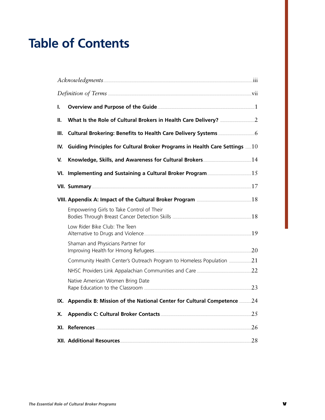### **Table of Contents**

| ı.  |                                                                             |  |
|-----|-----------------------------------------------------------------------------|--|
| Ш.  |                                                                             |  |
| Ш.  |                                                                             |  |
| IV. | Guiding Principles for Cultural Broker Programs in Health Care Settings  10 |  |
| V.  |                                                                             |  |
|     |                                                                             |  |
|     |                                                                             |  |
|     |                                                                             |  |
|     | Empowering Girls to Take Control of Their                                   |  |
|     | Low Rider Bike Club: The Teen                                               |  |
|     | Shaman and Physicians Partner for                                           |  |
|     | Community Health Center's Outreach Program to Homeless Population 21        |  |
|     |                                                                             |  |
|     | Native American Women Bring Date                                            |  |
| IX. | Appendix B: Mission of the National Center for Cultural Competence 24       |  |
| Х.  |                                                                             |  |
| XI. | <b>References</b> 26                                                        |  |
|     |                                                                             |  |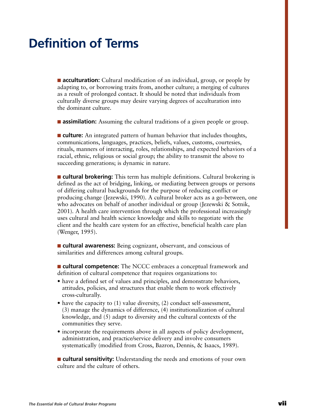### **Definition of Terms**

■ **acculturation:** Cultural modification of an individual, group, or people by adapting to, or borrowing traits from, another culture; a merging of cultures as a result of prolonged contact. It should be noted that individuals from culturally diverse groups may desire varying degrees of acculturation into the dominant culture.

■ **assimilation:** Assuming the cultural traditions of a given people or group.

■ **culture:** An integrated pattern of human behavior that includes thoughts, communications, languages, practices, beliefs, values, customs, courtesies, rituals, manners of interacting, roles, relationships, and expected behaviors of a racial, ethnic, religious or social group; the ability to transmit the above to succeeding generations; is dynamic in nature.

■ **cultural brokering:** This term has multiple definitions. Cultural brokering is defined as the act of bridging, linking, or mediating between groups or persons of differing cultural backgrounds for the purpose of reducing conflict or producing change (Jezewski, 1990). A cultural broker acts as a go-between, one who advocates on behalf of another individual or group (Jezewski & Sotnik, 2001). A health care intervention through which the professional increasingly uses cultural and health science knowledge and skills to negotiate with the client and the health care system for an effective, beneficial health care plan (Wenger, 1995).

■ **cultural awareness:** Being cognizant, observant, and conscious of similarities and differences among cultural groups.

■ **cultural competence:** The NCCC embraces a conceptual framework and definition of cultural competence that requires organizations to:

- have a defined set of values and principles, and demonstrate behaviors, attitudes, policies, and structures that enable them to work effectively cross-culturally.
- have the capacity to (1) value diversity, (2) conduct self-assessment, (3) manage the dynamics of difference, (4) institutionalization of cultural knowledge, and (5) adapt to diversity and the cultural contexts of the communities they serve.
- incorporate the requirements above in all aspects of policy development, administration, and practice/service delivery and involve consumers systematically (modified from Cross, Bazron, Dennis, & Isaacs, 1989).

■ **cultural sensitivity:** Understanding the needs and emotions of your own culture and the culture of others.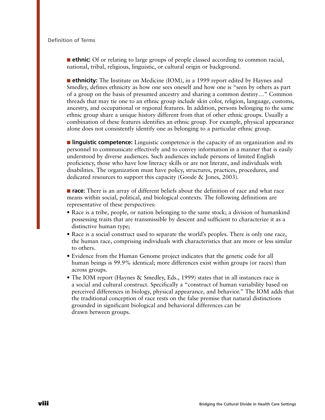■ **ethnic:** Of or relating to large groups of people classed according to common racial, national, tribal, religious, linguistic, or cultural origin or background.

■ **ethnicity:** The Institute on Medicine (IOM), in a 1999 report edited by Haynes and Smedley, defines ethnicity as how one sees oneself and how one is "seen by others as part of a group on the basis of presumed ancestry and sharing a common destiny…" Common threads that may tie one to an ethnic group include skin color, religion, language, customs, ancestry, and occupational or regional features. In addition, persons belonging to the same ethnic group share a unique history different from that of other ethnic groups. Usually a combination of these features identifies an ethnic group. For example, physical appearance alone does not consistently identify one as belonging to a particular ethnic group.

■ **linguistic competence:** Linguistic competence is the capacity of an organization and its personnel to communicate effectively and to convey information in a manner that is easily understood by diverse audiences. Such audiences include persons of limited English proficiency, those who have low literacy skills or are not literate, and individuals with disabilities. The organization must have policy, structures, practices, procedures, and dedicated resources to support this capacity (Goode & Jones, 2003).

■ **race:** There is an array of different beliefs about the definition of race and what race means within social, political, and biological contexts. The following definitions are representative of these perspectives:

- Race is a tribe, people, or nation belonging to the same stock; a division of humankind possessing traits that are transmissible by descent and sufficient to characterize it as a distinctive human type;
- Race is a social construct used to separate the world's peoples. There is only one race, the human race, comprising individuals with characteristics that are more or less similar to others.
- Evidence from the Human Genome project indicates that the genetic code for all human beings is 99.9% identical; more differences exist within groups (or races) than across groups.
- The IOM report (Haynes & Smedley, Eds., 1999) states that in all instances race is a social and cultural construct. Specifically a "construct of human variability based on perceived differences in biology, physical appearance, and behavior." The IOM adds that the traditional conception of race rests on the false premise that natural distinctions grounded in significant biological and behavioral differences can be drawn between groups.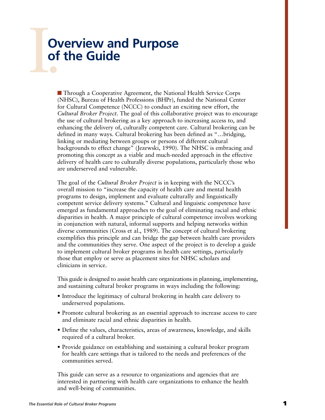## I.Com **Overview and Purpose of the Guide**

■ Through a Cooperative Agreement, the National Health Service Corps (NHSC), Bureau of Health Professions (BHPr), funded the National Center for Cultural Competence (NCCC) to conduct an exciting new effort, the *Cultural Broker Project*. The goal of this collaborative project was to encourage the use of cultural brokering as a key approach to increasing access to, and enhancing the delivery of, culturally competent care. Cultural brokering can be defined in many ways. Cultural brokering has been defined as "…bridging, linking or mediating between groups or persons of different cultural backgrounds to effect change" (Jezewski, 1990). The NHSC is embracing and promoting this concept as a viable and much-needed approach in the effective delivery of health care to culturally diverse populations, particularly those who are underserved and vulnerable.

The goal of the *Cultural Broker Project* is in keeping with the NCCC's overall mission to "increase the capacity of health care and mental health programs to design, implement and evaluate culturally and linguistically competent service delivery systems." Cultural and linguistic competence have emerged as fundamental approaches to the goal of eliminating racial and ethnic disparities in health. A major principle of cultural competence involves working in conjunction with natural, informal supports and helping networks within diverse communities (Cross et al., 1989). The concept of cultural brokering exemplifies this principle and can bridge the gap between health care providers and the communities they serve. One aspect of the project is to develop a guide to implement cultural broker programs in health care settings, particularly those that employ or serve as placement sites for NHSC scholars and clinicians in service.

This guide is designed to assist health care organizations in planning, implementing, and sustaining cultural broker programs in ways including the following:

- Introduce the legitimacy of cultural brokering in health care delivery to underserved populations.
- Promote cultural brokering as an essential approach to increase access to care and eliminate racial and ethnic disparities in health.
- Define the values, characteristics, areas of awareness, knowledge, and skills required of a cultural broker.
- Provide guidance on establishing and sustaining a cultural broker program for health care settings that is tailored to the needs and preferences of the communities served.

This guide can serve as a resource to organizations and agencies that are interested in partnering with health care organizations to enhance the health and well-being of communities.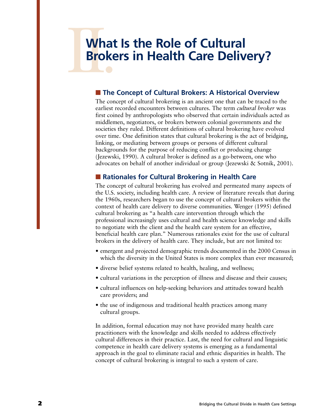## **IV. Market What Is the Role of Cultural Brokers in Health Care Delivery?**

#### ■ **The Concept of Cultural Brokers: A Historical Overview**

The concept of cultural brokering is an ancient one that can be traced to the earliest recorded encounters between cultures. The term *cultural broker* was first coined by anthropologists who observed that certain individuals acted as middlemen, negotiators, or brokers between colonial governments and the societies they ruled. Different definitions of cultural brokering have evolved over time. One definition states that cultural brokering is the act of bridging, linking, or mediating between groups or persons of different cultural backgrounds for the purpose of reducing conflict or producing change (Jezewski, 1990). A cultural broker is defined as a go-between, one who advocates on behalf of another individual or group (Jezewski & Sotnik, 2001).

#### ■ **Rationales for Cultural Brokering in Health Care**

The concept of cultural brokering has evolved and permeated many aspects of the U.S. society, including health care. A review of literature reveals that during the 1960s, researchers began to use the concept of cultural brokers within the context of health care delivery to diverse communities. Wenger (1995) defined cultural brokering as "a health care intervention through which the professional increasingly uses cultural and health science knowledge and skills to negotiate with the client and the health care system for an effective, beneficial health care plan." Numerous rationales exist for the use of cultural brokers in the delivery of health care. They include, but are not limited to:

- emergent and projected demographic trends documented in the 2000 Census in which the diversity in the United States is more complex than ever measured;
- diverse belief systems related to health, healing, and wellness;
- cultural variations in the perception of illness and disease and their causes;
- cultural influences on help-seeking behaviors and attitudes toward health care providers; and
- the use of indigenous and traditional health practices among many cultural groups.

In addition, formal education may not have provided many health care practitioners with the knowledge and skills needed to address effectively cultural differences in their practice. Last, the need for cultural and linguistic competence in health care delivery systems is emerging as a fundamental approach in the goal to eliminate racial and ethnic disparities in health. The concept of cultural brokering is integral to such a system of care.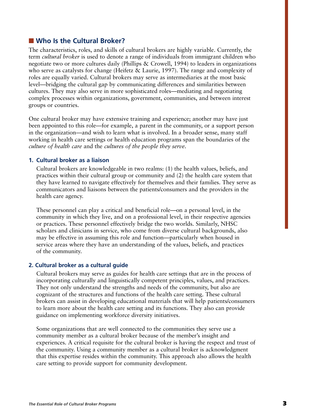#### ■ Who Is the Cultural Broker?

The characteristics, roles, and skills of cultural brokers are highly variable. Currently, the term *cultural broker* is used to denote a range of individuals from immigrant children who negotiate two or more cultures daily (Phillips & Crowell, 1994) to leaders in organizations who serve as catalysts for change (Heifetz & Laurie, 1997). The range and complexity of roles are equally varied. Cultural brokers may serve as intermediaries at the most basic level—bridging the cultural gap by communicating differences and similarities between cultures. They may also serve in more sophisticated roles—mediating and negotiating complex processes within organizations, government, communities, and between interest groups or countries.

One cultural broker may have extensive training and experience; another may have just been appointed to this role—for example, a parent in the community, or a support person in the organization—and wish to learn what is involved. In a broader sense, many staff working in health care settings or health education programs span the boundaries of the *culture of health care* and the *cultures of the people they serve*.

#### **1. Cultural broker as a liaison**

Cultural brokers are knowledgeable in two realms: (1) the health values, beliefs, and practices within their cultural group or community and (2) the health care system that they have learned to navigate effectively for themselves and their families. They serve as communicators and liaisons between the patients/consumers and the providers in the health care agency.

These personnel can play a critical and beneficial role—on a personal level, in the community in which they live, and on a professional level, in their respective agencies or practices. These personnel effectively bridge the two worlds. Similarly, NHSC scholars and clinicians in service, who come from diverse cultural backgrounds, also may be effective in assuming this role and function—particularly when housed in service areas where they have an understanding of the values, beliefs, and practices of the community.

#### **2. Cultural broker as a cultural guide**

Cultural brokers may serve as guides for health care settings that are in the process of incorporating culturally and linguistically competent principles, values, and practices. They not only understand the strengths and needs of the community, but also are cognizant of the structures and functions of the health care setting. These cultural brokers can assist in developing educational materials that will help patients/consumers to learn more about the health care setting and its functions. They also can provide guidance on implementing workforce diversity initiatives.

Some organizations that are well connected to the communities they serve use a community member as a cultural broker because of the member's insight and experiences. A critical requisite for the cultural broker is having the respect and trust of the community. Using a community member as a cultural broker is acknowledgment that this expertise resides within the community. This approach also allows the health care setting to provide support for community development.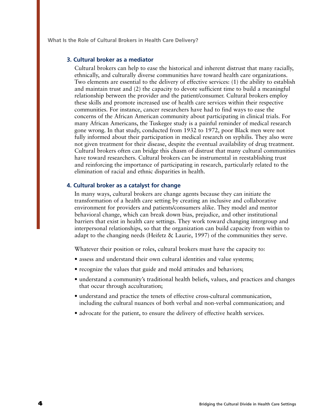**What Is the Role of Cultural Brokers in Health Care Delivery?**

#### **3. Cultural broker as a mediator**

Cultural brokers can help to ease the historical and inherent distrust that many racially, ethnically, and culturally diverse communities have toward health care organizations. Two elements are essential to the delivery of effective services: (1) the ability to establish and maintain trust and (2) the capacity to devote sufficient time to build a meaningful relationship between the provider and the patient/consumer. Cultural brokers employ these skills and promote increased use of health care services within their respective communities. For instance, cancer researchers have had to find ways to ease the concerns of the African American community about participating in clinical trials. For many African Americans, the Tuskegee study is a painful reminder of medical research gone wrong. In that study, conducted from 1932 to 1972, poor Black men were not fully informed about their participation in medical research on syphilis. They also were not given treatment for their disease, despite the eventual availability of drug treatment. Cultural brokers often can bridge this chasm of distrust that many cultural communities have toward researchers. Cultural brokers can be instrumental in reestablishing trust and reinforcing the importance of participating in research, particularly related to the elimination of racial and ethnic disparities in health.

#### **4. Cultural broker as a catalyst for change**

In many ways, cultural brokers are change agents because they can initiate the transformation of a health care setting by creating an inclusive and collaborative environment for providers and patients/consumers alike. They model and mentor behavioral change, which can break down bias, prejudice, and other institutional barriers that exist in health care settings. They work toward changing intergroup and interpersonal relationships, so that the organization can build capacity from within to adapt to the changing needs (Heifetz  $\&$  Laurie, 1997) of the communities they serve.

Whatever their position or roles, cultural brokers must have the capacity to:

- assess and understand their own cultural identities and value systems;
- recognize the values that guide and mold attitudes and behaviors;
- understand a community's traditional health beliefs, values, and practices and changes that occur through acculturation;
- understand and practice the tenets of effective cross-cultural communication, including the cultural nuances of both verbal and non-verbal communication; and
- advocate for the patient, to ensure the delivery of effective health services.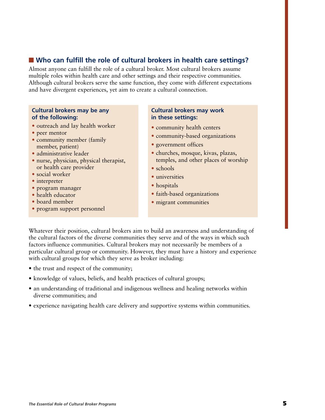#### ■ Who can fulfill the role of cultural brokers in health care settings?

Almost anyone can fulfill the role of a cultural broker. Most cultural brokers assume multiple roles within health care and other settings and their respective communities. Although cultural brokers serve the same function, they come with different expectations and have divergent experiences, yet aim to create a cultural connection.

#### **Cultural brokers may be any of the following:**

- outreach and lay health worker
- peer mentor
- community member (family member, patient)
- administrative leader
- nurse, physician, physical therapist, or health care provider
- social worker
- interpreter
- program manager
- health educator
- board member
- program support personnel

#### **Cultural brokers may work in these settings:**

- community health centers
- community-based organizations
- government offices
- churches, mosque, kivas, plazas, temples, and other places of worship
- schools
- universities
- hospitals
- faith-based organizations
- migrant communities

Whatever their position, cultural brokers aim to build an awareness and understanding of the cultural factors of the diverse communities they serve and of the ways in which such factors influence communities. Cultural brokers may not necessarily be members of a particular cultural group or community. However, they must have a history and experience with cultural groups for which they serve as broker including:

- the trust and respect of the community;
- knowledge of values, beliefs, and health practices of cultural groups;
- an understanding of traditional and indigenous wellness and healing networks within diverse communities; and
- experience navigating health care delivery and supportive systems within communities.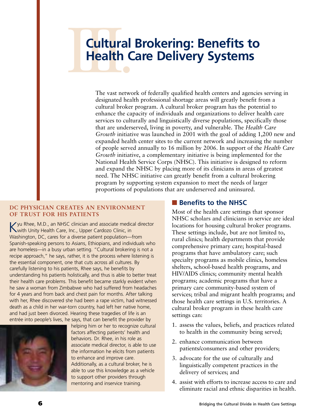## **Cultural**<br>Health C **Cultural Brokering: Benefits to Health Care Delivery Systems**

The vast network of federally qualified health centers and agencies serving in designated health professional shortage areas will greatly benefit from a cultural broker program. A cultural broker program has the potential to enhance the capacity of individuals and organizations to deliver health care services to culturally and linguistically diverse populations, specifically those that are underserved, living in poverty, and vulnerable. The *Health Care Growth* initiative was launched in 2001 with the goal of adding 1,200 new and expanded health center sites to the current network and increasing the number of people served annually to 16 million by 2006. In support of the *Health Care Growth* initiative, a complementary initiative is being implemented for the National Health Service Corps (NHSC). This initiative is designed to reform and expand the NHSC by placing more of its clinicians in areas of greatest need. The NHSC initiative can greatly benefit from a cultural brokering program by supporting system expansion to meet the needs of larger proportions of populations that are underserved and uninsured.

#### **DC PHYSICIAN CREATES AN ENVIRONMENT OF TRUST FOR HIS PATIENTS**

Kyu Rhee, M.D., an NHSC clinician and associate medical director with Unity Health Care, Inc., Upper Cardozo Clinic, in Washington, DC, cares for a diverse patient population—from Spanish-speaking persons to Asians, Ethiopians, and individuals who are homeless—in a busy urban setting. "Cultural brokering is not a recipe approach," he says, rather, it is the process where listening is the essential component, one that cuts across all cultures. By carefully listening to his patients, Rhee says, he benefits by understanding his patients holistically, and thus is able to better treat their health care problems. This benefit became starkly evident when he saw a woman from Zimbabwe who had suffered from headaches for 4 years and from back and chest pain for months. After talking with her, Rhee discovered she had been a rape victim, had witnessed death as a child in her war-torn country, had left her native home, and had just been divorced. Hearing these tragedies of life is an entrée into people's lives, he says, that can benefit the provider by



helping him or her to recognize cultural factors affecting patients' health and behaviors. Dr. Rhee, in his role as associate medical director, is able to use the information he elicits from patients to enhance and improve care. Additionally, as a cultural broker, he is able to use this knowledge as a vehicle to support other providers through mentoring and inservice training.

#### ■ **Benefits to the NHSC**

Most of the health care settings that sponsor NHSC scholars and clinicians in service are ideal locations for housing cultural broker programs. These settings include, but are not limited to, rural clinics; health departments that provide comprehensive primary care; hospital-based programs that have ambulatory care; such specialty programs as mobile clinics, homeless shelters, school-based health programs, and HIV/AIDS clinics; community mental health programs; academic programs that have a primary care community-based system of services; tribal and migrant health programs; and those health care settings in U.S. territories. A cultural broker program in these health care settings can:

- 1. assess the values, beliefs, and practices related to health in the community being served;
- 2. enhance communication between patients/consumers and other providers;
- 3. advocate for the use of culturally and linguistically competent practices in the delivery of services; and
- 4. assist with efforts to increase access to care and eliminate racial and ethnic disparities in health.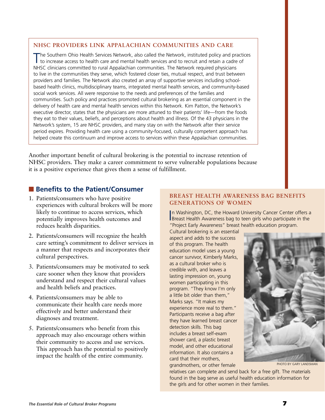#### **NHSC PROVIDERS LINK APPALACHIAN COMMUNITIES AND CARE**

The Southern Ohio Health Services Network, also called the Network, instituted policy and practices to increase access to health care and mental health services and to recruit and retain a cadre of NHSC clinicians committed to rural Appalachian communities. The Network required physicians to live in the communities they serve, which fostered closer ties, mutual respect, and trust between providers and families. The Network also created an array of supportive services including schoolbased health clinics, multidisciplinary teams, integrated mental health services, and community-based social work services. All were responsive to the needs and preferences of the families and communities. Such policy and practices promoted cultural brokering as an essential component in the delivery of health care and mental health services within this Network. Kim Patton, the Network's executive director, states that the physicians are more attuned to their patients' life—from the foods they eat to their values, beliefs, and perceptions about health and illness. Of the 43 physicians in the Network's system, 15 are NHSC providers, and many stay on with the Network after their service period expires. Providing health care using a community-focused, culturally competent approach has helped create this continuum and improve access to services within these Appalachian communities.

Another important benefit of cultural brokering is the potential to increase retention of NHSC providers. They make a career commitment to serve vulnerable populations because it is a positive experience that gives them a sense of fulfillment.

#### ■ **Benefits to the Patient/Consumer**

- 1. Patients/consumers who have positive experiences with cultural brokers will be more likely to continue to access services, which potentially improves health outcomes and reduces health disparities.
- 2. Patients/consumers will recognize the health care setting's commitment to deliver services in a manner that respects and incorporates their cultural perspectives.
- 3. Patients/consumers may be motivated to seek care sooner when they know that providers understand and respect their cultural values and health beliefs and practices.
- 4. Patients/consumers may be able to communicate their health care needs more effectively and better understand their diagnoses and treatment.
- 5. Patients/consumers who benefit from this approach may also encourage others within their community to access and use services. This approach has the potential to positively impact the health of the entire community.

#### **BREAST HEALTH AWARENESS BAG BENEFITS GENERATIONS OF WOMEN**

In Washington, DC, the Howard University Cancer Center offers a<br>Breast Health Awareness bag to teen girls who participate in the n Washington, DC, the Howard University Cancer Center offers a "Project Early Awareness" breast health education program.

Cultural brokering is an essential aspect and adds to the success of this program. The health education model uses a young cancer survivor, Kimberly Marks, as a cultural broker who is credible with, and leaves a lasting impression on, young women participating in this program. "They know I'm only a little bit older than them," Marks says. "It makes my experience more real to them." Participants receive a bag after they have learned breast cancer detection skills. This bag includes a breast self-exam shower card, a plastic breast model, and other educational information. It also contains a card that their mothers, grandmothers, or other female

relatives can complete and send back for a free gift. The materials found in the bag serve as useful health education information for the girls and for other women in their families.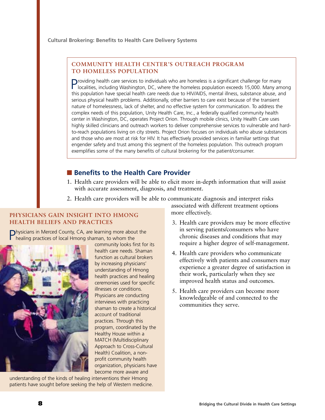**Cultural Brokering: Benefits to Health Care Delivery Systems**

#### **COMMUNITY HEALTH CENTER'S OUTREACH PROGRAM TO HOMELESS POPULATION**

Providing health care services to individuals who are homeless is a significant challenge for many localities, including Washington, DC, where the homeless population exceeds 15,000. Many among this population have special health care needs due to HIV/AIDS, mental illness, substance abuse, and serious physical health problems. Additionally, other barriers to care exist because of the transient nature of homelessness, lack of shelter, and no effective system for communication. To address the complex needs of this population, Unity Health Care, Inc., a federally qualified community health center in Washington, DC, operates Project Orion. Through mobile clinics, Unity Health Care uses highly skilled clinicians and outreach workers to deliver comprehensive services to vulnerable and hardto-reach populations living on city streets. Project Orion focuses on individuals who abuse substances and those who are most at risk for HIV. It has effectively provided services in familiar settings that engender safety and trust among this segment of the homeless population. This outreach program exemplifies some of the many benefits of cultural brokering for the patient/consumer.

#### ■ **Benefits to the Health Care Provider**

- 1. Health care providers will be able to elicit more in-depth information that will assist with accurate assessment, diagnosis, and treatment.
- 2. Health care providers will be able to communicate diagnosis and interpret risks

#### **PHYSICIANS GAIN INSIGHT INTO HMONG HEALTH BELIEFS AND PRACTICES**

Physicians in Merced County, CA, are learning more about the healing practices of local Hmong shaman, to whom the



community looks first for its health care needs. Shaman function as cultural brokers by increasing physicians' understanding of Hmong health practices and healing ceremonies used for specific illnesses or conditions. Physicians are conducting interviews with practicing shaman to create a historical account of traditional practices. Through this program, coordinated by the Healthy House within a MATCH (Multidisciplinary Approach to Cross-Cultural Health) Coalition, a nonprofit community health organization, physicians have become more aware and

understanding of the kinds of healing interventions their Hmong patients have sought before seeking the help of Western medicine. associated with different treatment options more effectively.

- 3. Health care providers may be more effective in serving patients/consumers who have chronic diseases and conditions that may require a higher degree of self-management.
- 4. Health care providers who communicate effectively with patients and consumers may experience a greater degree of satisfaction in their work, particularly when they see improved health status and outcomes.
- 5. Health care providers can become more knowledgeable of and connected to the communities they serve.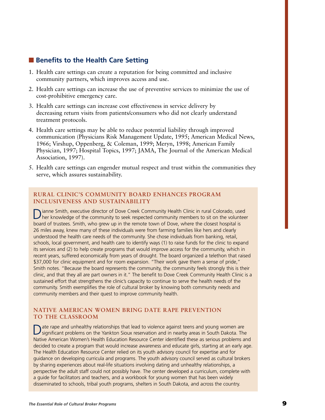#### ■ **Benefits to the Health Care Setting**

- 1. Health care settings can create a reputation for being committed and inclusive community partners, which improves access and use.
- 2. Health care settings can increase the use of preventive services to minimize the use of cost-prohibitive emergency care.
- 3. Health care settings can increase cost effectiveness in service delivery by decreasing return visits from patients/consumers who did not clearly understand treatment protocols.
- 4. Health care settings may be able to reduce potential liability through improved communication (Physicians Risk Management Update, 1995; American Medical News, 1966; Virshup, Oppenberg, & Coleman, 1999; Meryn, 1998; American Family Physician, 1997; Hospital Topics, 1997; JAMA, The Journal of the American Medical Association, 1997).
- 5. Health care settings can engender mutual respect and trust within the communities they serve, which assures sustainability.

#### **RURAL CLINIC'S COMMUNITY BOARD ENHANCES PROGRAM INCLUSIVENESS AND SUSTAINABILITY**

Dianne Smith, executive director of Dove Creek Community Health Clinic in rural Colorado, used her knowledge of the community to seek respected community members to sit on the volunteer board of trustees. Smith, who grew up in the remote town of Dove, where the closest hospital is 26 miles away, knew many of these individuals were from farming families like hers and clearly understood the health care needs of the community. She chose individuals from banking, retail, schools, local government, and health care to identify ways (1) to raise funds for the clinic to expand its services and (2) to help create programs that would improve access for the community, which in recent years, suffered economically from years of drought. The board organized a telethon that raised \$37,000 for clinic equipment and for room expansion. "Their work gave them a sense of pride," Smith notes. "Because the board represents the community, the community feels strongly this is their clinic, and that they all are part owners in it." The benefit to Dove Creek Community Health Clinic is a sustained effort that strengthens the clinic's capacity to continue to serve the health needs of the community. Smith exemplifies the role of cultural broker by knowing both community needs and community members and their quest to improve community health.

#### **NATIVE AMERICAN WOMEN BRING DATE RAPE PREVENTION TO THE CLASSROOM**

Date rape and unhealthy relationships that lead to violence against teens and young women are significant problems on the Yankton Sioux reservation and in nearby areas in South Dakota. The Native American Women's Health Education Resource Center identified these as serious problems and decided to create a program that would increase awareness and educate girls, starting at an early age. The Health Education Resource Center relied on its youth advisory council for expertise and for guidance on developing curricula and programs. The youth advisory council served as cultural brokers by sharing experiences about real-life situations involving dating and unhealthy relationships, a perspective the adult staff could not possibly have. The center developed a curriculum, complete with a guide for facilitators and teachers, and a workbook for young women that has been widely disseminated to schools, tribal youth programs, shelters in South Dakota, and across the country.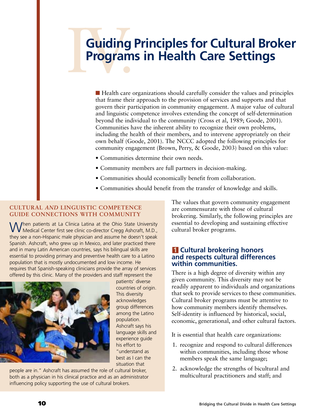## Guiding<br>Program **Guiding Principles for Cultural Broker Programs in Health Care Settings**

■ Health care organizations should carefully consider the values and principles that frame their approach to the provision of services and supports and that govern their participation in community engagement. A major value of cultural and linguistic competence involves extending the concept of self-determination beyond the individual to the community (Cross et al, 1989; Goode, 2001). Communities have the inherent ability to recognize their own problems, including the health of their members, and to intervene appropriately on their own behalf (Goode, 2001). The NCCC adopted the following principles for community engagement (Brown, Perry, & Goode, 2003) based on this value:

- Communities determine their own needs.
- Community members are full partners in decision-making.
- Communities should economically benefit from collaboration.
- Communities should benefit from the transfer of knowledge and skills.

#### **CULTURAL** *AND* **LINGUISTIC COMPETENCE GUIDE CONNECTIONS WITH COMMUNITY**

When patients at La Clinica Latina at the Ohio State University Medical Center first see clinic co-director Cregg Ashcraft, M.D., they see a non-Hispanic male physician and assume he doesn't speak Spanish. Ashcraft, who grew up in Mexico, and later practiced there and in many Latin American countries, says his bilingual skills are essential to providing primary and preventive health care to a Latino population that is mostly undocumented and low income. He requires that Spanish-speaking clinicians provide the array of services offered by this clinic. Many of the providers and staff represent the



patients' diverse countries of origin. This diversity acknowledges group differences among the Latino population. Ashcraft says his language skills and experience guide his effort to "understand as best as I can the situation that

people are in." Ashcraft has assumed the role of cultural broker, both as a physician in his clinical practice and as an administrator influencing policy supporting the use of cultural brokers.

The values that govern community engagement are commensurate with those of cultural brokering. Similarly, the following principles are essential to developing and sustaining effective cultural broker programs.

#### **1 Cultural brokering honors and respects cultural differences within communities.**

There is a high degree of diversity within any given community. This diversity may not be readily apparent to individuals and organizations that seek to provide services to these communities. Cultural broker programs must be attentive to how community members identify themselves. Self-identity is influenced by historical, social, economic, generational, and other cultural factors.

It is essential that health care organizations:

- 1. recognize and respond to cultural differences within communities, including those whose members speak the same language;
- 2. acknowledge the strengths of bicultural and multicultural practitioners and staff; and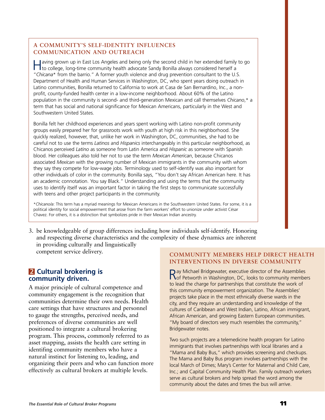#### **A COMMUNITY'S SELF-IDENTITY INFLUENCES COMMUNICATION AND OUTREACH**

Having grown up in East Los Angeles and being only the second child in her extended family to go to college, long-time community health advocate Sandy Bonilla always considered herself a "*Chicana*\* from the barrio." A former youth violence and drug prevention consultant to the U.S. Department of Health and Human Services in Washington, DC, who spent years doing outreach in Latino communities, Bonilla returned to California to work at Casa de San Bernardino, Inc., a nonprofit, county-funded health center in a low-income neighborhood. About 60% of the Latino population in the community is second- and third-generation Mexican and call themselves *Chicano*,\* a term that has social and national significance for Mexican Americans, particularly in the West and Southwestern United States.

Bonilla felt her childhood experiences and years spent working with Latino non-profit community groups easily prepared her for grassroots work with youth at high risk in this neighborhood. She quickly realized, however, that, unlike her work in Washington, DC, communities, she had to be careful not to use the terms *Latinos* and *Hispanics* interchangeably in this particular neighborhood, as Chicanos perceived *Latino* as someone from Latin America and *Hispanic* as someone with Spanish blood. Her colleagues also told her not to use the term *Mexican American*, because Chicanos associated *Mexican* with the growing number of Mexican immigrants in the community with whom they say they compete for low-wage jobs. Terminology used to self-identify was also important for other individuals of color in the community. Bonilla says, "You don't say African American here. It has an academic connotation. You say Black." Understanding and using the terms that the community uses to identify itself was an important factor in taking the first steps to communicate successfully with teens and other project participants in the community.

\**Chicano/a*: This term has a myriad meanings for Mexican Americans in the Southwestern United States. For some, it is a political identity for social empowerment that arose from the farm workers' effort to unionize under activist César Chavez. For others, it is a distinction that symbolizes pride in their Mexican Indian ancestry.

3. be knowledgeable of group differences including how individuals self-identify. Honoring and respecting diverse characteristics and the complexity of these dynamics are inherent in providing culturally and linguistically competent service delivery.

#### **2 Cultural brokering is community driven.**

A major principle of cultural competence and community engagement is the recognition that communities determine their own needs. Health care settings that have structures and personnel to gauge the strengths, perceived needs, and preferences of diverse communities are well positioned to integrate a cultural brokering program. This process, commonly referred to as asset mapping, assists the health care setting in identifing community members who have a natural instinct for listening to, leading, and organizing their peers and who can function more effectively as cultural brokers at multiple levels.

#### **COMMUNITY MEMBERS HELP DIRECT HEALTH INTERVENTIONS IN DIVERSE COMMUNITY**

Ray Michael Bridgewater, executive director of the Assemblies<br> **References** Petworth in Washington, DC, looks to community members to lead the charge for partnerships that constitute the work of this community empowerment organization. The Assemblies' projects take place in the most ethnically diverse wards in the city, and they require an understanding and knowledge of the cultures of Caribbean and West Indian, Latino, African immigrant, African American, and growing Eastern European communities. "My board of directors very much resembles the community," Bridgewater notes.

Two such projects are a telemedicine health program for Latino immigrants that involves partnerships with local libraries and a "Mama and Baby Bus," which provides screening and checkups. The Mama and Baby Bus program involves partnerships with the local March of Dimes; Mary's Center for Maternal and Child Care, Inc.; and Capital Community Health Plan. Family outreach workers serve as cultural brokers and help spread the word among the community about the dates and times the bus will arrive.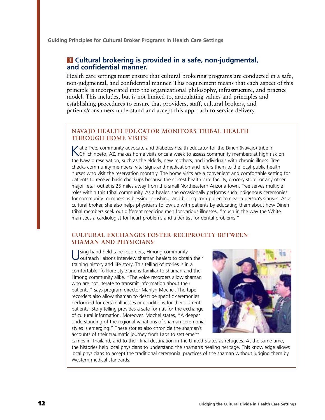**Guiding Principles for Cultural Broker Programs in Health Care Settings**

#### **3 Cultural brokering is provided in a safe, non-judgmental, and confidential manner.**

Health care settings must ensure that cultural brokering programs are conducted in a safe, non-judgmental, and confidential manner. This requirement means that each aspect of this principle is incorporated into the organizational philosophy, infrastructure, and practice model. This includes, but is not limited to, articulating values and principles and establishing procedures to ensure that providers, staff, cultural brokers, and patients/consumers understand and accept this approach to service delivery.

#### **NAVAJO HEALTH EDUCATOR MONITORS TRIBAL HEALTH THROUGH HOME VISITS**

Katie Tree, community advocate and diabetes health educator for the Dineh (Navajo) tribe in<br>Chilchinbeto, AZ, makes home visits once a week to assess community members at high risk on the Navajo reservation, such as the elderly, new mothers, and individuals with chronic illness. Tree checks community members' vital signs and medication and refers them to the local public health nurses who visit the reservation monthly. The home visits are a convenient and comfortable setting for patients to receive basic checkups because the closest health care facility, grocery store, or any other major retail outlet is 25 miles away from this small Northeastern Arizona town. Tree serves multiple roles within this tribal community. As a healer, she occasionally performs such indigenous ceremonies for community members as blessing, crushing, and boiling corn pollen to clear a person's sinuses. As a cultural broker, she also helps physicians follow up with patients by educating them about how Dineh tribal members seek out different medicine men for various illnesses, "much in the way the White man sees a cardiologist for heart problems and a dentist for dental problems."

#### **CULTURAL EXCHANGES FOSTER RECIPROCITY BETWEEN SHAMAN AND PHYSICIANS**

Using hand-held tape recorders, Hmong community<br>
outreach liaisons interview shaman healers to obtain their training history and life story. This telling of stories is in a comfortable, folklore style and is familiar to shaman and the Hmong community alike. "The voice recorders allow shaman who are not literate to transmit information about their patients," says program director Marilyn Mochel. The tape recorders also allow shaman to describe specific ceremonies performed for certain illnesses or conditions for their current patients. Story telling provides a safe format for the exchange of cultural information. Moreover, Mochel states, "A deeper understanding of the regional variations of shaman ceremonial styles is emerging." These stories also chronicle the shaman's accounts of their traumatic journey from Laos to settlement



camps in Thailand, and to their final destination in the United States as refugees. At the same time, the histories help local physicians to understand the shaman's healing heritage. This knowledge allows local physicians to accept the traditional ceremonial practices of the shaman without judging them by Western medical standards.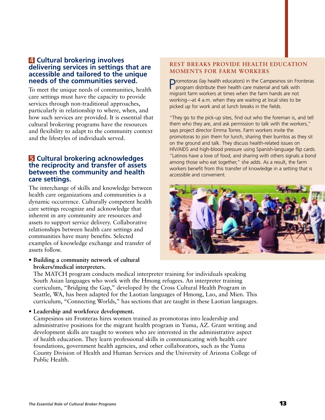#### **4 Cultural brokering involves delivering services in settings that are accessible and tailored to the unique needs of the communities served.**

To meet the unique needs of communities, health care settings must have the capacity to provide services through non-traditional approaches, particularly in relationship to where, when, and how such services are provided. It is essential that cultural brokering programs have the resources and flexibility to adapt to the community context and the lifestyles of individuals served.

#### **5 Cultural brokering acknowledges the reciprocity and transfer of assets between the community and health care settings.**

The interchange of skills and knowledge between health care organizations and communities is a dynamic occurrence. Culturally competent health care settings recognize and acknowledge that inherent in any community are resources and assets to support service delivery. Collaborative relationships between health care settings and communities have many benefits. Selected examples of knowledge exchange and transfer of assets follow.

• **Building a community network of cultural brokers/medical interpreters.**

#### **REST BREAKS PROVIDE HEALTH EDUCATION MOMENTS FOR FARM WORKERS**

Promotoras (lay health educators) in the Campesinos sin Fronteras program distribute their health care material and talk with migrant farm workers at times when the farm hands are not working—at 4 a.m. when they are waiting at local sites to be picked up for work and at lunch breaks in the fields.

"They go to the pick-up sites, find out who the foreman is, and tell them who they are, and ask permission to talk with the workers," says project director Emma Torres. Farm workers invite the promotoras to join them for lunch, sharing their burritos as they sit on the ground and talk. They discuss health-related issues on HIV/AIDS and high-blood pressure using Spanish-language flip cards. "Latinos have a love of food, and sharing with others signals a bond among those who eat together," she adds. As a result, the farm workers benefit from this transfer of knowledge in a setting that is accessible and convenient.



The MATCH program conducts medical interpreter training for individuals speaking South Asian languages who work with the Hmong refugees. An interpreter training curriculum, "Bridging the Gap," developed by the Cross Cultural Health Program in Seattle, WA, has been adapted for the Laotian languages of Hmong, Lao, and Mien. This curriculum, "Connecting Worlds," has sections that are taught in these Laotian languages.

• **Leadership and workforce development.**

Campesinos sin Fronteras hires women trained as promotoras into leadership and administrative positions for the migrant health program in Yuma, AZ. Grant writing and development skills are taught to women who are interested in the administrative aspect of health education. They learn professional skills in communicating with health care foundations, government health agencies, and other collaborators, such as the Yuma County Division of Health and Human Services and the University of Arizona College of Public Health.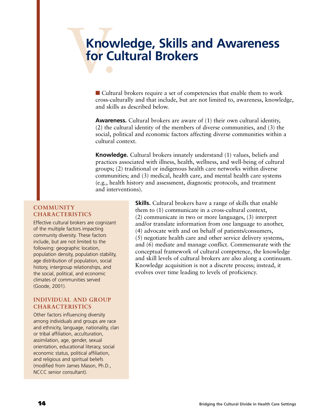## Know<br>for Cu **Knowledge, Skills and Awareness for Cultural Brokers**

■ Cultural brokers require a set of competencies that enable them to work cross-culturally and that include, but are not limited to, awareness, knowledge, and skills as described below.

**Awareness.** Cultural brokers are aware of (1) their own cultural identity, (2) the cultural identity of the members of diverse communities, and (3) the social, political and economic factors affecting diverse communities within a cultural context.

**Knowledge.** Cultural brokers innately understand (1) values, beliefs and practices associated with illness, health, wellness, and well-being of cultural groups; (2) traditional or indigenous health care networks within diverse communities; and (3) medical, health care, and mental health care systems (e.g., health history and assessment, diagnostic protocols, and treatment and interventions).

#### **COMMUNITY CHARACTERISTICS**

Effective cultural brokers are cognizant of the multiple factors impacting community diversity. These factors include, but are not limited to the following: geographic location, population density, population stability, age distribution of population, social history, intergroup relationships, and the social, political, and economic climates of communities served (Goode, 2001).

#### **INDIVIDUAL AND GROUP CHARACTERISTICS**

Other factors influencing diversity among individuals and groups are race and ethnicity, language, nationality, clan or tribal affiliation, acculturation, assimilation, age, gender, sexual orientation, educational literacy, social economic status, political affiliation, and religious and spiritual beliefs (modified from James Mason, Ph.D., NCCC senior consultant).

**Skills.** Cultural brokers have a range of skills that enable them to (1) communicate in a cross-cultural context, (2) communicate in two or more languages, (3) interpret and/or translate information from one language to another, (4) advocate with and on behalf of patients/consumers, (5) negotiate health care and other service delivery systems, and (6) mediate and manage conflict. Commensurate with the conceptual framework of cultural competence, the knowledge and skill levels of cultural brokers are also along a continuum. Knowledge acquisition is not a discrete process; instead, it evolves over time leading to levels of proficiency.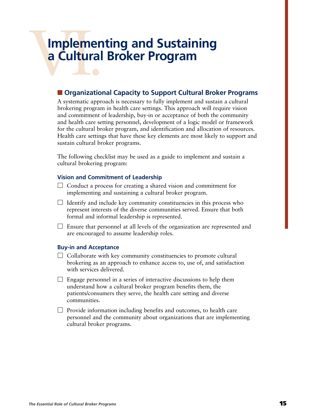## Implement **Implementing and Sustaining a Cultural Broker Program**

#### ■ **Organizational Capacity to Support Cultural Broker Programs**

A systematic approach is necessary to fully implement and sustain a cultural brokering program in health care settings. This approach will require vision and commitment of leadership, buy-in or acceptance of both the community and health care setting personnel, development of a logic model or framework for the cultural broker program, and identification and allocation of resources. Health care settings that have these key elements are most likely to support and sustain cultural broker programs.

The following checklist may be used as a guide to implement and sustain a cultural brokering program:

#### **Vision and Commitment of Leadership**

- $\Box$  Conduct a process for creating a shared vision and commitment for implementing and sustaining a cultural broker program.
- $\Box$  Identify and include key community constituencies in this process who represent interests of the diverse communities served. Ensure that both formal and informal leadership is represented.
- $\Box$  Ensure that personnel at all levels of the organization are represented and are encouraged to assume leadership roles.

#### **Buy-in and Acceptance**

- $\Box$  Collaborate with key community constituencies to promote cultural brokering as an approach to enhance access to, use of, and satisfaction with services delivered.
- $\Box$  Engage personnel in a series of interactive discussions to help them understand how a cultural broker program benefits them, the patients/consumers they serve, the health care setting and diverse communities.
- $\Box$  Provide information including benefits and outcomes, to health care personnel and the community about organizations that are implementing cultural broker programs.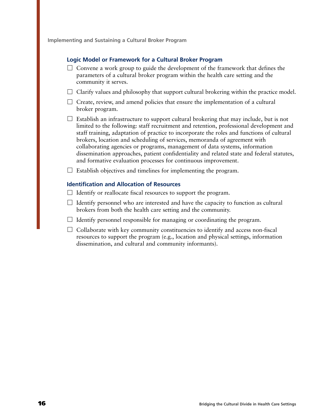**Implementing and Sustaining a Cultural Broker Program**

#### **Logic Model or Framework for a Cultural Broker Program**

- $\Box$  Convene a work group to guide the development of the framework that defines the parameters of a cultural broker program within the health care setting and the community it serves.
- $\Box$  Clarify values and philosophy that support cultural brokering within the practice model.
- $\Box$  Create, review, and amend policies that ensure the implementation of a cultural broker program.
- $\Box$  Establish an infrastructure to support cultural brokering that may include, but is not limited to the following: staff recruitment and retention, professional development and staff training, adaptation of practice to incorporate the roles and functions of cultural brokers, location and scheduling of services, memoranda of agreement with collaborating agencies or programs, management of data systems, information dissemination approaches, patient confidentiality and related state and federal statutes, and formative evaluation processes for continuous improvement.

 $\Box$  Establish objectives and timelines for implementing the program.

#### **Identification and Allocation of Resources**

- $\Box$  Identify or reallocate fiscal resources to support the program.
- $\Box$  Identify personnel who are interested and have the capacity to function as cultural brokers from both the health care setting and the community.
- $\Box$  Identify personnel responsible for managing or coordinating the program.
- $\Box$  Collaborate with key community constituencies to identify and access non-fiscal resources to support the program (e.g., location and physical settings, information dissemination, and cultural and community informants).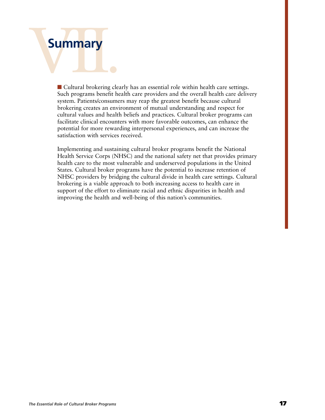# Summary **Summary**

■ Cultural brokering clearly has an essential role within health care settings. Such programs benefit health care providers and the overall health care delivery system. Patients/consumers may reap the greatest benefit because cultural brokering creates an environment of mutual understanding and respect for cultural values and health beliefs and practices. Cultural broker programs can facilitate clinical encounters with more favorable outcomes, can enhance the potential for more rewarding interpersonal experiences, and can increase the satisfaction with services received.

Implementing and sustaining cultural broker programs benefit the National Health Service Corps (NHSC) and the national safety net that provides primary health care to the most vulnerable and underserved populations in the United States. Cultural broker programs have the potential to increase retention of NHSC providers by bridging the cultural divide in health care settings. Cultural brokering is a viable approach to both increasing access to health care in support of the effort to eliminate racial and ethnic disparities in health and improving the health and well-being of this nation's communities.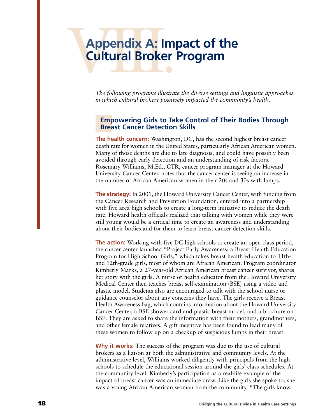## Appendix A: Im **Appendix A: Impact of the Cultural Broker Program**

*The following programs illustrate the diverse settings and linguistic approaches in which cultural brokers positively impacted the community's health.*

#### **Empowering Girls to Take Control of Their Bodies Through Breast Cancer Detection Skills**

**The health concern:** Washington, DC, has the second highest breast cancer death rate for women in the United States, particularly African American women. Many of those deaths are due to late diagnosis, and could have possibly been avoided through early detection and an understanding of risk factors. Rosemary Williams, M.Ed., CTR, cancer program manager at the Howard University Cancer Center, notes that the cancer center is seeing an increase in the number of African American women in their 20s and 30s with lumps.

**The strategy:** In 2001, the Howard University Cancer Center, with funding from the Cancer Research and Prevention Foundation, entered into a partnership with five area high schools to create a long-term initiative to reduce the death rate. Howard health officials realized that talking with women while they were still young would be a critical time to create an awareness and understanding about their bodies and for them to learn breast cancer detection skills.

**The action:** Working with five DC high schools to create an open class period, the cancer center launched "Project Early Awareness: a Breast Health Education Program for High School Girls," which takes breast health education to 11thand 12th-grade girls, most of whom are African American. Program coordinator Kimberly Marks, a 27-year-old African American breast cancer survivor, shares her story with the girls. A nurse or health educator from the Howard University Medical Center then teaches breast self-examination (BSE) using a video and plastic model. Students also are encouraged to talk with the school nurse or guidance counselor about any concerns they have. The girls receive a Breast Health Awareness bag, which contains information about the Howard University Cancer Center, a BSE shower card and plastic breast model, and a brochure on BSE. They are asked to share the information with their mothers, grandmothers, and other female relatives. A gift incentive has been found to lead many of these women to follow up on a checkup of suspicious lumps in their breast.

**Why it works:** The success of the program was due to the use of cultural brokers as a liaison at both the administrative and community levels. At the administrative level, Williams worked diligently with principals from the high schools to schedule the educational session around the girls' class schedules. At the community level, Kimberly's participation as a real-life example of the impact of breast cancer was an immediate draw. Like the girls she spoke to, she was a young African American woman from the community. "The girls know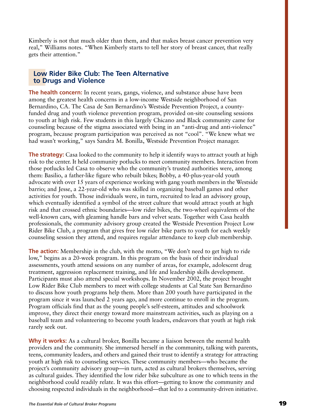Kimberly is not that much older than them, and that makes breast cancer prevention very real," Williams notes. "When Kimberly starts to tell her story of breast cancer, that really gets their attention."

#### **Low Rider Bike Club: The Teen Alternative to Drugs and Violence**

**The health concern:** In recent years, gangs, violence, and substance abuse have been among the greatest health concerns in a low-income Westside neighborhood of San Bernardino, CA. The Casa de San Bernardino's Westside Prevention Project, a countyfunded drug and youth violence prevention program, provided on-site counseling sessions to youth at high risk. Few students in this largely Chicano and Black community came for counseling because of the stigma associated with being in an "anti-drug and anti-violence" program, because program participation was perceived as not "cool". "We knew what we had wasn't working," says Sandra M. Bonilla, Westside Prevention Project manager.

**The strategy:** Casa looked to the community to help it identify ways to attract youth at high risk to the center. It held community potlucks to meet community members. Interaction from those potlucks led Casa to observe who the community's trusted authorities were, among them: Basilio, a father-like figure who rebuilt bikes; Bobby, a 40-plus-year-old youth advocate with over 15 years of experience working with gang youth members in the Westside barrio; and Jesse, a 22-year-old who was skilled in organizing baseball games and other activities for youth. Those individuals were, in turn, recruited to lead an advisory group, which eventually identified a symbol of the street culture that would attract youth at high risk and that crossed ethnic boundaries—low rider bikes, the two-wheel equivalents of the well-known cars, with gleaming handle bars and velvet seats. Together with Casa health professionals, the community advisory group created the Westside Prevention Project Low Rider Bike Club, a program that gives free low rider bike parts to youth for each weekly counseling session they attend, and requires regular attendance to keep club membership.

**The action:** Membership in the club, with the motto, "We don't need to get high to ride low," begins as a 20-week program. In this program on the basis of their individual assessments, youth attend sessions on any number of areas, for example, adolescent drug treatment, aggression replacement training, and life and leadership skills development. Participants must also attend special workshops. In November 2002, the project brought Low Rider Bike Club members to meet with college students at Cal State San Bernardino to discuss how youth programs help them. More than 200 youth have participated in the program since it was launched 2 years ago, and more continue to enroll in the program. Program officials find that as the young people's self-esteem, attitudes and schoolwork improve, they direct their energy toward more mainstream activities, such as playing on a baseball team and volunteering to become youth leaders, endeavors that youth at high risk rarely seek out.

**Why it works:** As a cultural broker, Bonilla became a liaison between the mental health providers and the community. She immersed herself in the community, talking with parents, teens, community leaders, and others and gained their trust to identify a strategy for attracting youth at high risk to counseling services. These community members—who became the project's community advisory group—in turn, acted as cultural brokers themselves, serving as cultural guides. They identified the low rider bike subculture as one to which teens in the neighborhood could readily relate. It was this effort—getting to know the community and choosing respected individuals in the neighborhood—that led to a community-driven initiative.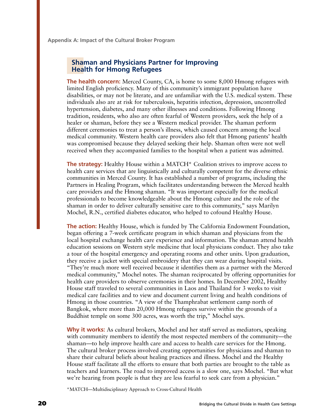**Appendix A: Impact of the Cultural Broker Program**

#### **Shaman and Physicians Partner for Improving Health for Hmong Refugees**

**The health concern:** Merced County, CA, is home to some 8,000 Hmong refugees with limited English proficiency. Many of this community's immigrant population have disabilities, or may not be literate, and are unfamiliar with the U.S. medical system. These individuals also are at risk for tuberculosis, hepatitis infection, depression, uncontrolled hypertension, diabetes, and many other illnesses and conditions. Following Hmong tradition, residents, who also are often fearful of Western providers, seek the help of a healer or shaman, before they see a Western medical provider. The shaman perform different ceremonies to treat a person's illness, which caused concern among the local medical community. Western health care providers also felt that Hmong patients' health was compromised because they delayed seeking their help. Shaman often were not well received when they accompanied families to the hospital when a patient was admitted.

**The strategy:** Healthy House within a MATCH\* Coalition strives to improve access to health care services that are linguistically and culturally competent for the diverse ethnic communities in Merced County. It has established a number of programs, including the Partners in Healing Program, which facilitates understanding between the Merced health care providers and the Hmong shaman. "It was important especially for the medical professionals to become knowledgeable about the Hmong culture and the role of the shaman in order to deliver culturally sensitive care to this community," says Marilyn Mochel, R.N., certified diabetes educator, who helped to cofound Healthy House.

**The action:** Healthy House, which is funded by The California Endowment Foundation, began offering a 7-week certificate program in which shaman and physicians from the local hospital exchange health care experience and information. The shaman attend health education sessions on Western style medicine that local physicians conduct. They also take a tour of the hospital emergency and operating rooms and other units. Upon graduation, they receive a jacket with special embroidery that they can wear during hospital visits. "They're much more well received because it identifies them as a partner with the Merced medical community," Mochel notes. The shaman reciprocated by offering opportunities for health care providers to observe ceremonies in their homes. In December 2002, Healthy House staff traveled to several communities in Laos and Thailand for 3 weeks to visit medical care facilities and to view and document current living and health conditions of Hmong in those countries. "A view of the Thamphrabat settlement camp north of Bangkok, where more than 20,000 Hmong refugees survive within the grounds of a Buddhist temple on some 300 acres, was worth the trip," Mochel says.

**Why it works:** As cultural brokers, Mochel and her staff served as mediators, speaking with community members to identify the most respected members of the community—the shaman—to help improve health care and access to health care services for the Hmong. The cultural broker process involved creating opportunities for physicians and shaman to share their cultural beliefs about healing practices and illness. Mochel and the Healthy House staff facilitate all the efforts to ensure that both parties are brought to the table as teachers and learners. The road to improved access is a slow one, says Mochel. "But what we're hearing from people is that they are less fearful to seek care from a physician."

\*MATCH—Multidisciplinary Approach to Cross-Cultural Health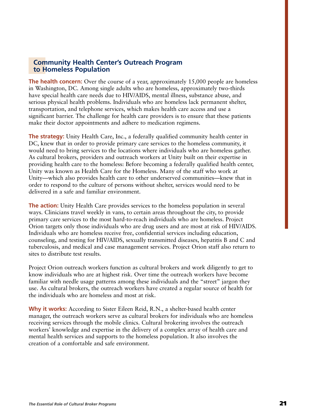#### **Community Health Center's Outreach Program to Homeless Population**

**The health concern:** Over the course of a year, approximately 15,000 people are homeless in Washington, DC. Among single adults who are homeless, approximately two-thirds have special health care needs due to HIV/AIDS, mental illness, substance abuse, and serious physical health problems. Individuals who are homeless lack permanent shelter, transportation, and telephone services, which makes health care access and use a significant barrier. The challenge for health care providers is to ensure that these patients make their doctor appointments and adhere to medication regimens.

**The strategy:** Unity Health Care, Inc., a federally qualified community health center in DC, knew that in order to provide primary care services to the homeless community, it would need to bring services to the locations where individuals who are homeless gather. As cultural brokers, providers and outreach workers at Unity built on their expertise in providing health care to the homeless: Before becoming a federally qualified health center, Unity was known as Health Care for the Homeless. Many of the staff who work at Unity—which also provides health care to other underserved communities—knew that in order to respond to the culture of persons without shelter, services would need to be delivered in a safe and familiar environment.

**The action:** Unity Health Care provides services to the homeless population in several ways. Clinicians travel weekly in vans, to certain areas throughout the city, to provide primary care services to the most hard-to-reach individuals who are homeless. Project Orion targets only those individuals who are drug users and are most at risk of HIV/AIDS. Individuals who are homeless receive free, confidential services including education, counseling, and testing for HIV/AIDS, sexually transmitted diseases, hepatitis B and C and tuberculosis, and medical and case management services. Project Orion staff also return to sites to distribute test results.

Project Orion outreach workers function as cultural brokers and work diligently to get to know individuals who are at highest risk. Over time the outreach workers have become familiar with needle usage patterns among these individuals and the "street" jargon they use. As cultural brokers, the outreach workers have created a regular source of health for the individuals who are homeless and most at risk.

**Why it works:** According to Sister Eileen Reid, R.N., a shelter-based health center manager, the outreach workers serve as cultural brokers for individuals who are homeless receiving services through the mobile clinics. Cultural brokering involves the outreach workers' knowledge and expertise in the delivery of a complex array of health care and mental health services and supports to the homeless population. It also involves the creation of a comfortable and safe environment.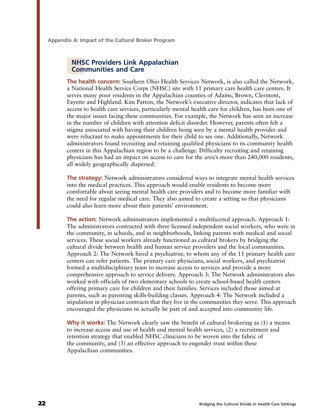**Appendix A: Impact of the Cultural Broker Program**

#### **NHSC Providers Link Appalachian Communities and Care**

**The health concern:** Southern Ohio Health Services Network, is also called the Network, a National Health Service Corps (NHSC) site with 11 primary care health care centers. It serves many poor residents in the Appalachian counties of Adams, Brown, Clermont, Fayette and Highland. Kim Patton, the Network's executive director, indicates that lack of access to health care services, particularly mental health care for children, has been one of the major issues facing these communities. For example, the Network has seen an increase in the number of children with attention deficit disorder. However, parents often felt a stigma associated with having their children being seen by a mental health provider and were reluctant to make appointments for their child to see one. Additionally, Network administrators found recruiting and retaining qualified physicians to its community health centers in this Appalachian region to be a challenge. Difficulty recruiting and retaining physicians has had an impact on access to care for the area's more than 240,000 residents, all widely geographically dispersed.

**The strategy:** Network administrators considered ways to integrate mental health services into the medical practices. This approach would enable residents to become more comfortable about seeing mental health care providers and to become more familiar with the need for regular medical care. They also aimed to create a setting so that physicians could also learn more about their patients' environment.

**The action:** Network administrators implemented a multifaceted approach. Approach 1: The administrators contracted with three licensed independent social workers, who were in the community, in schools, and in neighborhoods, linking parents with medical and social services. These social workers already functioned as cultural brokers by bridging the cultural divide between health and human service providers and the local communities. Approach 2: The Network hired a psychiatrist, to whom any of the 11 primary health care centers can refer patients. The primary care physicians, social workers, and psychiatrist formed a multidisciplinary team to increase access to services and provide a more comprehensive approach to service delivery. Approach 3: The Network administrators also worked with officials of two elementary schools to create school-based health centers offering primary care for children and their families. Services included those aimed at parents, such as parenting skills-building classes. Approach 4: The Network included a stipulation in physician contracts that they live in the communities they serve. This approach encouraged the physicians to actually be part of and accepted into community life.

**Why it works:** The Network clearly saw the benefit of cultural brokering as (1) a means to increase access and use of health and mental health services, (2) a recruitment and retention strategy that enabled NHSC clinicians to be woven into the fabric of the community, and (3) an effective approach to engender trust within these Appalachian communities.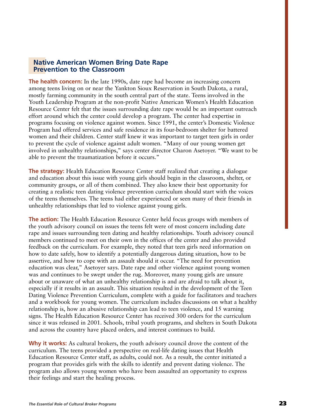#### **Native American Women Bring Date Rape Prevention to the Classroom**

**The health concern:** In the late 1990s, date rape had become an increasing concern among teens living on or near the Yankton Sioux Reservation in South Dakota, a rural, mostly farming community in the south central part of the state. Teens involved in the Youth Leadership Program at the non-profit Native American Women's Health Education Resource Center felt that the issues surrounding date rape would be an important outreach effort around which the center could develop a program. The center had expertise in programs focusing on violence against women. Since 1991, the center's Domestic Violence Program had offered services and safe residence in its four-bedroom shelter for battered women and their children. Center staff knew it was important to target teen girls in order to prevent the cycle of violence against adult women. "Many of our young women get involved in unhealthy relationships," says center director Charon Asetoyer. "We want to be able to prevent the traumatization before it occurs."

**The strategy:** Health Education Resource Center staff realized that creating a dialogue and education about this issue with young girls should begin in the classroom, shelter, or community groups, or all of them combined. They also knew their best opportunity for creating a realistic teen dating violence prevention curriculum should start with the voices of the teens themselves. The teens had either experienced or seen many of their friends in unhealthy relationships that led to violence against young girls.

**The action:** The Health Education Resource Center held focus groups with members of the youth advisory council on issues the teens felt were of most concern including date rape and issues surrounding teen dating and healthy relationships. Youth advisory council members continued to meet on their own in the offices of the center and also provided feedback on the curriculum. For example, they noted that teen girls need information on how to date safely, how to identify a potentially dangerous dating situation, how to be assertive, and how to cope with an assault should it occur. "The need for prevention education was clear," Asetoyer says. Date rape and other violence against young women was and continues to be swept under the rug. Moreover, many young girls are unsure about or unaware of what an unhealthy relationship is and are afraid to talk about it, especially if it results in an assault. This situation resulted in the development of the Teen Dating Violence Prevention Curriculum, complete with a guide for facilitators and teachers and a workbook for young women. The curriculum includes discussions on what a healthy relationship is, how an abusive relationship can lead to teen violence, and 15 warning signs. The Health Education Resource Center has received 300 orders for the curriculum since it was released in 2001. Schools, tribal youth programs, and shelters in South Dakota and across the country have placed orders, and interest continues to build.

**Why it works:** As cultural brokers, the youth advisory council drove the content of the curriculum. The teens provided a perspective on real-life dating issues that Health Education Resource Center staff, as adults, could not. As a result, the center initiated a program that provides girls with the skills to identify and prevent dating violence. The program also allows young women who have been assaulted an opportunity to express their feelings and start the healing process.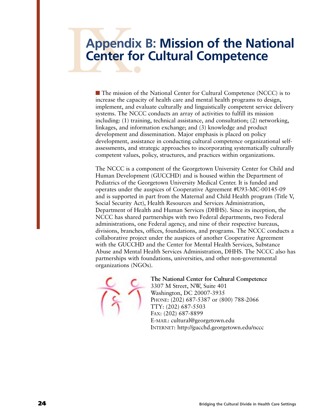## Appendix<br>Center for **Appendix B: Mission of the National Center for Cultural Competence**

■ The mission of the National Center for Cultural Competence (NCCC) is to increase the capacity of health care and mental health programs to design, implement, and evaluate culturally and linguistically competent service delivery systems. The NCCC conducts an array of activities to fulfill its mission including: (1) training, technical assistance, and consultation; (2) networking, linkages, and information exchange; and (3) knowledge and product development and dissemination. Major emphasis is placed on policy development, assistance in conducting cultural competence organizational selfassessments, and strategic approaches to incorporating systematically culturally competent values, policy, structures, and practices within organizations.

The NCCC is a component of the Georgetown University Center for Child and Human Development (GUCCHD) and is housed within the Department of Pediatrics of the Georgetown University Medical Center. It is funded and operates under the auspices of Cooperative Agreement #U93-MC-00145-09 and is supported in part from the Maternal and Child Health program (Title V, Social Security Act), Health Resources and Services Administration, Department of Health and Human Services (DHHS). Since its inception, the NCCC has shared partnerships with two Federal departments, two Federal administrations, one Federal agency, and nine of their respective bureaus, divisions, branches, offices, foundations, and programs. The NCCC conducts a collaborative project under the auspices of another Cooperative Agreement with the GUCCHD and the Center for Mental Health Services, Substance Abuse and Mental Health Services Administration, DHHS. The NCCC also has partnerships with foundations, universities, and other non-governmental organizations (NGOs).

**The National Center for Cultural Competence** 3307 M Street, NW, Suite 401 Washington, DC 20007-3935 PHONE: (202) 687-5387 or (800) 788-2066 TTY: (202) 687-5503 FAX: (202) 687-8899 E-MAIL: cultural@georgetown.edu INTERNET: http://gucchd.georgetown.edu/nccc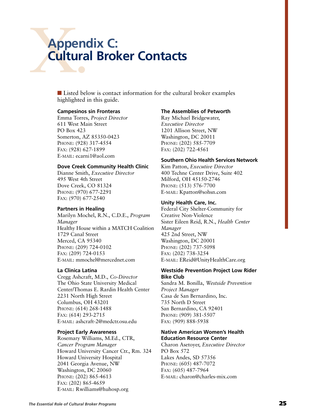## Append<br>Cultura **Appendix C: Cultural Broker Contacts**

■ Listed below is contact information for the cultural broker examples highlighted in this guide.

#### **Campesinos sin Fronteras**

Emma Torres, *Project Director* 611 West Main Street PO Box 423 Somerton, AZ 85350-0423 PHONE: (928) 317-4554 FAX: (928) 627-1899 E-MAIL: ecarni1@aol.com

#### **Dove Creek Community Health Clinic**

Dianne Smith, *Executive Director* 495 West 4th Street Dove Creek, CO 81324 PHONE: (970) 677-2291 FAX: (970) 677-2540

#### **Partners in Healing**

Marilyn Mochel, R.N., C.D.E., *Program Manager* Healthy House within a MATCH Coalition 1729 Canal Street Merced, CA 95340 PHONE: (209) 724-0102 FAX: (209) 724-0153 E-MAIL: mmochel@mercednet.com

#### **La Clinica Latina**

Cregg Ashcraft, M.D., *Co-Director* The Ohio State University Medical Center/Thomas E. Rardin Health Center 2231 North High Street Columbus, OH 43201 PHONE: (614) 268-1488 FAX: (614) 293-2715 E-MAIL: ashcraft-2@medctr.osu.edu

#### **Project Early Awareness**

Rosemary Williams, M.Ed., CTR, *Cancer Program Manager* Howard University Cancer Ctr., Rm. 324 Howard University Hospital 2041 Georgia Avenue, NW Washington, DC 20060 PHONE: (202) 865-4613 FAX: (202) 865-4659 E-MAIL: Rwilliams@huhosp.org

#### **The Assemblies of Petworth**

Ray Michael Bridgewater, *Executive Director* 1201 Allison Street, NW Washington, DC 20011 PHONE: (202) 585-7709 FAX: (202) 722-4561

#### **Southern Ohio Health Services Network**

Kim Patton, *Executive Director* 400 Techne Center Drive, Suite 402 Milford, OH 45150-2746 PHONE: (513) 576-7700 E-MAIL: Kpatton@sohsn.com

#### **Unity Health Care, Inc.**

Federal City Shelter-Community for Creative Non-Violence Sister Eileen Reid, R.N., *Health Center Manager* 425 2nd Street, NW Washington, DC 20001 PHONE: (202) 737-5098 FAX: (202) 738-3254 E-MAIL: EReid@UnityHealthCare.org

#### **Westside Prevention Project Low Rider Bike Club**

Sandra M. Bonilla, *Westside Prevention Project Manager* Casa de San Bernardino, Inc. 735 North D Street San Bernardino, CA 92401 PHONE: (909) 381-5507 FAX: (909) 888-5938

#### **Native American Women's Health Education Resource Center**

Charon Asetoyer, *Executive Director* PO Box 572 Lakes Andes, SD 57356 PHONE: (605) 487-7072 FAX: (605) 487-7964 E-MAIL: charon@charles-mix.com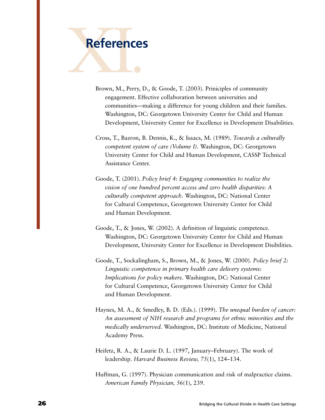

- Brown, M., Perry, D., & Goode, T. (2003). Priniciples of community engagement. Effective collaboration between universities and communities—making a difference for young children and their families. Washington, DC: Georgetown University Center for Child and Human Development, University Center for Excellence in Development Disabilities.
- Cross, T., Bazron, B. Dennis, K., & Isaacs, M. (1989). *Towards a culturally competent system of care (Volume I)*. Washington, DC: Georgetown University Center for Child and Human Development, CASSP Technical Assistance Center.
- Goode, T. (2001). *Policy brief 4: Engaging communities to realize the vision of one hundred percent access and zero health disparities: A culturally competent approach*. Washington, DC: National Center for Cultural Competence, Georgetown University Center for Child and Human Development.
- Goode, T., & Jones, W. (2002). A definition of linguistic competence. Washington, DC: Georgetown University Center for Child and Human Development, University Center for Excellence in Development Disibilities.
- Goode, T., Sockalingham, S., Brown, M., & Jones, W. (2000). *Policy brief 2: Linguistic competence in primary health care delivery systems: Implications for policy makers*. Washington, DC: National Center for Cultural Competence, Georgetown University Center for Child and Human Development.
- Haynes, M. A., & Smedley, B. D. (Eds.). (1999). *The unequal burden of cancer: An assessment of NIH research and programs for ethnic minorities and the medically underserved.* Washington, DC: Institute of Medicine, National Academy Press.
- Heifetz, R. A., & Laurie D. L. (1997, January–February). The work of leadership. *Harvard Business Review, 75*(1), 124–134.
- Huffman, G. (1997). Physician communication and risk of malpractice claims. *American Family Physician,* 56(1), 239.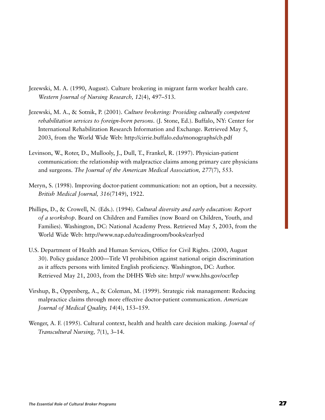- Jezewski, M. A. (1990, August). Culture brokering in migrant farm worker health care. *Western Journal of Nursing Research, 12*(4), 497–513.
- Jezewski, M. A., & Sotnik, P. (2001). *Culture brokering: Providing culturally competent rehabilitation services to foreign-born persons*. (J. Stone, Ed.). Buffalo, NY: Center for International Rehabilitation Research Information and Exchange. Retrieved May 5, 2003, from the World Wide Web: http://cirrie.buffalo.edu/monographs/cb.pdf
- Levinson, W., Roter, D., Mullooly, J., Dull, T., Frankel, R. (1997). Physician-patient communication: the relationship with malpractice claims among primary care physicians and surgeons. *The Journal of the American Medical Association, 277*(7), 553.
- Meryn, S. (1998). Improving doctor-patient communication: not an option, but a necessity. *British Medical Journal, 316*(7149), 1922.
- Phillips, D., & Crowell, N. (Eds.). (1994). *Cultural diversity and early education: Report of a workshop*. Board on Children and Families (now Board on Children, Youth, and Families). Washington, DC: National Academy Press. Retrieved May 5, 2003, from the World Wide Web: http://www.nap.edu/readingroom/books/earlyed
- U.S. Department of Health and Human Services, Office for Civil Rights. (2000, August 30). Policy guidance 2000—Title VI prohibition against national origin discrimination as it affects persons with limited English proficiency. Washington, DC: Author. Retrieved May 21, 2003, from the DHHS Web site: http:// www.hhs.gov/ocr/lep
- Virshup, B., Oppenberg, A., & Coleman, M. (1999). Strategic risk management: Reducing malpractice claims through more effective doctor-patient communication. *American Journal of Medical Quality, 14*(4), 153–159.
- Wenger, A. F. (1995). Cultural context, health and health care decision making. *Journal of Transcultural Nursing, 7*(1), 3–14.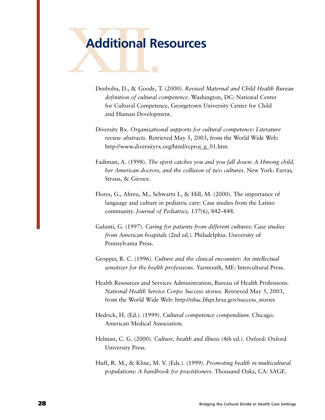# Additional Re **Additional Resources**

- Denboba, D., & Goode, T. (2000). *Revised Maternal and Child Health Bureau definition of cultural competence*. Washington, DC: National Center for Cultural Competence, Georgetown University Center for Child and Human Development.
- Diversity Rx. *Organizational supports for cultural competence: Literature review abstracts*. Retrieved May 5, 2003, from the World Wide Web: http://www.diversityrx.org/html/rcproj\_g\_01.htm
- Fadiman, A. (1998). *The spirit catches you and you fall down: A Hmong child, her American doctors, and the collision of two cultures*. New York: Farrar, Straus, & Giroux.
- Flores, G., Abreu, M., Schwartz I., & Hill, M. (2000). The importance of language and culture in pediatric care: Case studies from the Latino community. *Journal of Pediatrics, 137*(6), 842–848.
- Galanti, G. (1997). *Caring for patients from different cultures: Case studies from American hospitals* (2nd ed.). Philadelphia: University of Pennsylvania Press.
- Gropper, R. C. (1996). *Culture and the clinical encounter: An intellectual sensitizer for the health professions*. Yarmouth, ME: Intercultural Press.
- Health Resources and Services Administration, Bureau of Health Professions. *National Health Service Corps: Success stories*. Retrieved May 5, 2003, from the World Wide Web: http://nhsc.bhpr.hrsa.gov/success\_stories
- Hedrick, H. (Ed.). (1999). *Cultural competence compendium*. Chicago: American Medical Association.
- Helman, C. G. (2000). *Culture, health and illness* (4th ed.). Oxford: Oxford University Press.
- Huff, R. M., & Kline, M. V. (Eds.). (1999). *Promoting health in multicultural populations: A handbook for practitioners*. Thousand Oaks, CA: SAGE.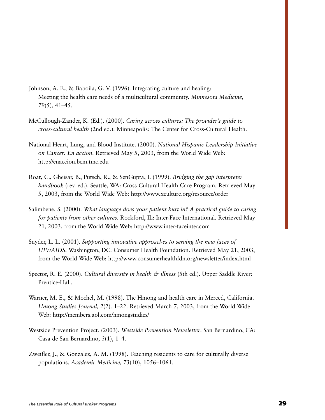- Johnson, A. E., & Baboila, G. V. (1996). Integrating culture and healing: Meeting the health care needs of a multicultural community. *Minnesota Medicine, 79*(5), 41–45.
- McCullough-Zander, K. (Ed.). (2000). *Caring across cultures: The provider's guide to cross-cultural health* (2nd ed.). Minneapolis: The Center for Cross-Cultural Health.
- National Heart, Lung, and Blood Institute. (2000). *National Hispanic Leadership Initiative on Cancer: En accion*. Retrieved May 5, 2003, from the World Wide Web: http://enaccion.bcm.tmc.edu
- Roat, C., Gheisar, B., Putsch, R., & SenGupta, I. (1999). *Bridging the gap interpreter handbook* (rev. ed.). Seattle, WA: Cross Cultural Health Care Program. Retrieved May 5, 2003, from the World Wide Web: http://www.xculture.org/resource/order
- Salimbene, S. (2000). *What language does your patient hurt in? A practical guide to caring for patients from other cultures*. Rockford, IL: Inter-Face International. Retrieved May 21, 2003, from the World Wide Web: http://www.inter-faceinter.com
- Snyder, L. L. (2001). *Supporting innovative approaches to serving the new faces of HIV/AIDS*. Washington, DC: Consumer Health Foundation. Retrieved May 21, 2003, from the World Wide Web: http://www.consumerhealthfdn.org/newsletter/index.html
- Spector, R. E. (2000). *Cultural diversity in health & illness* (5th ed.). Upper Saddle River: Prentice-Hall.
- Warner, M. E., & Mochel, M. (1998). The Hmong and health care in Merced, California. *Hmong Studies Journal, 2*(2). 1–22. Retrieved March 7, 2003, from the World Wide Web: http://members.aol.com/hmongstudies/
- Westside Prevention Project. (2003). *Westside Prevention Newsletter*. San Bernardino, CA: Casa de San Bernardino, *3*(1), 1–4.
- Zweifler, J., & Gonzalez, A. M. (1998). Teaching residents to care for culturally diverse populations. *Academic Medicine, 73*(10), 1056–1061.